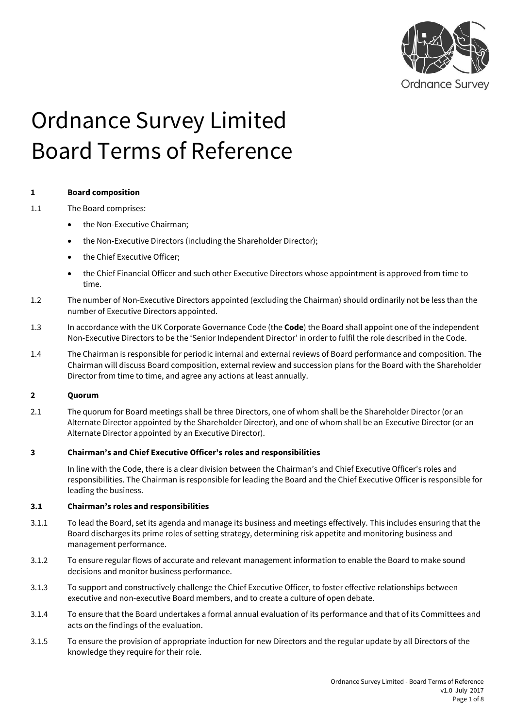

# Ordnance Survey Limited Board Terms of Reference

# **1 Board composition**

- 1.1 The Board comprises:
	- the Non-Executive Chairman;
	- the Non-Executive Directors (including the Shareholder Director);
	- the Chief Executive Officer;
	- the Chief Financial Officer and such other Executive Directors whose appointment is approved from time to time.
- 1.2 The number of Non-Executive Directors appointed (excluding the Chairman) should ordinarily not be less than the number of Executive Directors appointed.
- 1.3 In accordance with the UK Corporate Governance Code (the **Code**) the Board shall appoint one of the independent Non-Executive Directors to be the 'Senior Independent Director' in order to fulfil the role described in the Code.
- 1.4 The Chairman is responsible for periodic internal and external reviews of Board performance and composition. The Chairman will discuss Board composition, external review and succession plans for the Board with the Shareholder Director from time to time, and agree any actions at least annually.

# **2 Quorum**

2.1 The quorum for Board meetings shall be three Directors, one of whom shall be the Shareholder Director (or an Alternate Director appointed by the Shareholder Director), and one of whom shall be an Executive Director (or an Alternate Director appointed by an Executive Director).

# **3 Chairman's and Chief Executive Officer's roles and responsibilities**

In line with the Code, there is a clear division between the Chairman's and Chief Executive Officer's roles and responsibilities. The Chairman is responsible for leading the Board and the Chief Executive Officer is responsible for leading the business.

# **3.1 Chairman's roles and responsibilities**

- 3.1.1 To lead the Board, set its agenda and manage its business and meetings effectively. This includes ensuring that the Board discharges its prime roles of setting strategy, determining risk appetite and monitoring business and management performance.
- 3.1.2 To ensure regular flows of accurate and relevant management information to enable the Board to make sound decisions and monitor business performance.
- 3.1.3 To support and constructively challenge the Chief Executive Officer, to foster effective relationships between executive and non-executive Board members, and to create a culture of open debate.
- 3.1.4 To ensure that the Board undertakes a formal annual evaluation of its performance and that of its Committees and acts on the findings of the evaluation.
- 3.1.5 To ensure the provision of appropriate induction for new Directors and the regular update by all Directors of the knowledge they require for their role.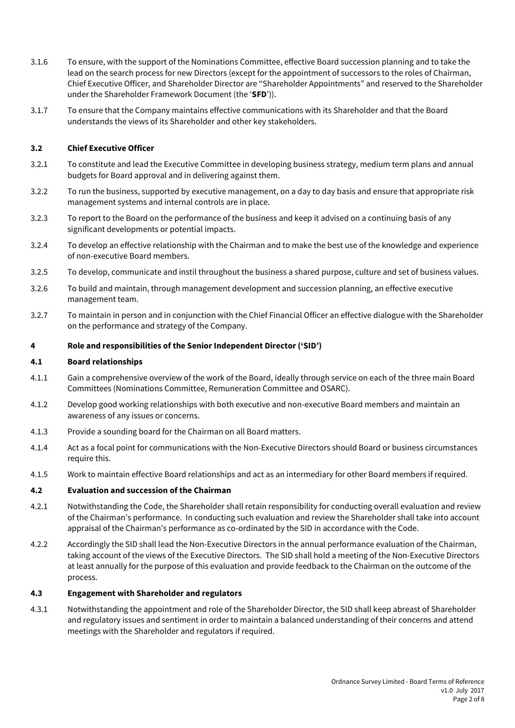- 3.1.6 To ensure, with the support of the Nominations Committee, effective Board succession planning and to take the lead on the search process for new Directors (except for the appointment of successors to the roles of Chairman, Chief Executive Officer, and Shareholder Director are "Shareholder Appointments" and reserved to the Shareholder under the Shareholder Framework Document (the '**SFD**')).
- 3.1.7 To ensure that the Company maintains effective communications with its Shareholder and that the Board understands the views of its Shareholder and other key stakeholders.

## **3.2 Chief Executive Officer**

- 3.2.1 To constitute and lead the Executive Committee in developing business strategy, medium term plans and annual budgets for Board approval and in delivering against them.
- 3.2.2 To run the business, supported by executive management, on a day to day basis and ensure that appropriate risk management systems and internal controls are in place.
- 3.2.3 To report to the Board on the performance of the business and keep it advised on a continuing basis of any significant developments or potential impacts.
- 3.2.4 To develop an effective relationship with the Chairman and to make the best use of the knowledge and experience of non-executive Board members.
- 3.2.5 To develop, communicate and instil throughout the business a shared purpose, culture and set of business values.
- 3.2.6 To build and maintain, through management development and succession planning, an effective executive management team.
- 3.2.7 To maintain in person and in conjunction with the Chief Financial Officer an effective dialogue with the Shareholder on the performance and strategy of the Company.

#### **4 Role and responsibilities of the Senior Independent Director ('SID')**

#### **4.1 Board relationships**

- 4.1.1 Gain a comprehensive overview of the work of the Board, ideally through service on each of the three main Board Committees (Nominations Committee, Remuneration Committee and OSARC).
- 4.1.2 Develop good working relationships with both executive and non-executive Board members and maintain an awareness of any issues or concerns.
- 4.1.3 Provide a sounding board for the Chairman on all Board matters.
- 4.1.4 Act as a focal point for communications with the Non-Executive Directors should Board or business circumstances require this.
- 4.1.5 Work to maintain effective Board relationships and act as an intermediary for other Board members if required.

#### **4.2 Evaluation and succession of the Chairman**

- 4.2.1 Notwithstanding the Code, the Shareholder shall retain responsibility for conducting overall evaluation and review of the Chairman's performance. In conducting such evaluation and review the Shareholder shall take into account appraisal of the Chairman's performance as co-ordinated by the SID in accordance with the Code.
- 4.2.2 Accordingly the SID shall lead the Non-Executive Directors in the annual performance evaluation of the Chairman, taking account of the views of the Executive Directors. The SID shall hold a meeting of the Non-Executive Directors at least annually for the purpose of this evaluation and provide feedback to the Chairman on the outcome of the process.

#### **4.3 Engagement with Shareholder and regulators**

4.3.1 Notwithstanding the appointment and role of the Shareholder Director, the SID shall keep abreast of Shareholder and regulatory issues and sentiment in order to maintain a balanced understanding of their concerns and attend meetings with the Shareholder and regulators if required.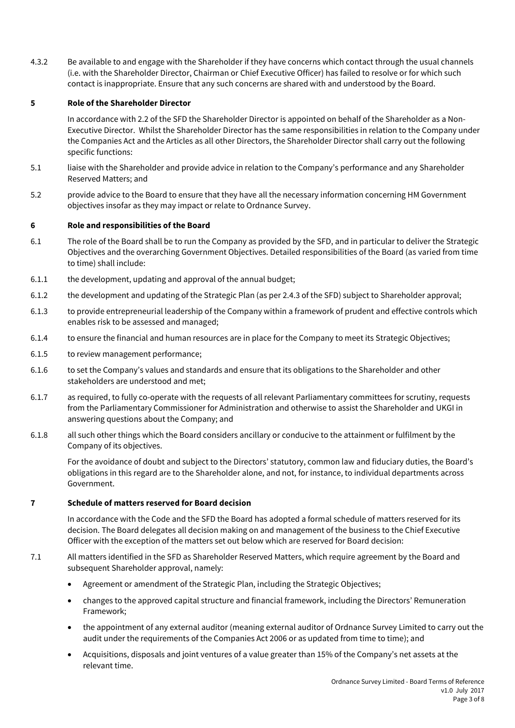4.3.2 Be available to and engage with the Shareholder if they have concerns which contact through the usual channels (i.e. with the Shareholder Director, Chairman or Chief Executive Officer) has failed to resolve or for which such contact is inappropriate. Ensure that any such concerns are shared with and understood by the Board.

# **5 Role of the Shareholder Director**

In accordance with 2.2 of the SFD the Shareholder Director is appointed on behalf of the Shareholder as a Non-Executive Director. Whilst the Shareholder Director has the same responsibilities in relation to the Company under the Companies Act and the Articles as all other Directors, the Shareholder Director shall carry out the following specific functions:

- 5.1 liaise with the Shareholder and provide advice in relation to the Company's performance and any Shareholder Reserved Matters; and
- 5.2 provide advice to the Board to ensure that they have all the necessary information concerning HM Government objectives insofar as they may impact or relate to Ordnance Survey.

# **6 Role and responsibilities of the Board**

- 6.1 The role of the Board shall be to run the Company as provided by the SFD, and in particular to deliver the Strategic Objectives and the overarching Government Objectives. Detailed responsibilities of the Board (as varied from time to time) shall include:
- 6.1.1 the development, updating and approval of the annual budget;
- 6.1.2 the development and updating of the Strategic Plan (as per 2.4.3 of the SFD) subject to Shareholder approval;
- 6.1.3 to provide entrepreneurial leadership of the Company within a framework of prudent and effective controls which enables risk to be assessed and managed;
- 6.1.4 to ensure the financial and human resources are in place for the Company to meet its Strategic Objectives;
- 6.1.5 to review management performance;
- 6.1.6 to set the Company's values and standards and ensure that its obligations to the Shareholder and other stakeholders are understood and met;
- 6.1.7 as required, to fully co-operate with the requests of all relevant Parliamentary committees for scrutiny, requests from the Parliamentary Commissioner for Administration and otherwise to assist the Shareholder and UKGI in answering questions about the Company; and
- 6.1.8 all such other things which the Board considers ancillary or conducive to the attainment or fulfilment by the Company of its objectives.

For the avoidance of doubt and subject to the Directors' statutory, common law and fiduciary duties, the Board's obligations in this regard are to the Shareholder alone, and not, for instance, to individual departments across Government.

# **7 Schedule of matters reserved for Board decision**

In accordance with the Code and the SFD the Board has adopted a formal schedule of matters reserved for its decision. The Board delegates all decision making on and management of the business to the Chief Executive Officer with the exception of the matters set out below which are reserved for Board decision:

- 7.1 All matters identified in the SFD as Shareholder Reserved Matters, which require agreement by the Board and subsequent Shareholder approval, namely:
	- Agreement or amendment of the Strategic Plan, including the Strategic Objectives;
	- changes to the approved capital structure and financial framework, including the Directors' Remuneration Framework;
	- the appointment of any external auditor (meaning external auditor of Ordnance Survey Limited to carry out the audit under the requirements of the Companies Act 2006 or as updated from time to time); and
	- Acquisitions, disposals and joint ventures of a value greater than 15% of the Company's net assets at the relevant time.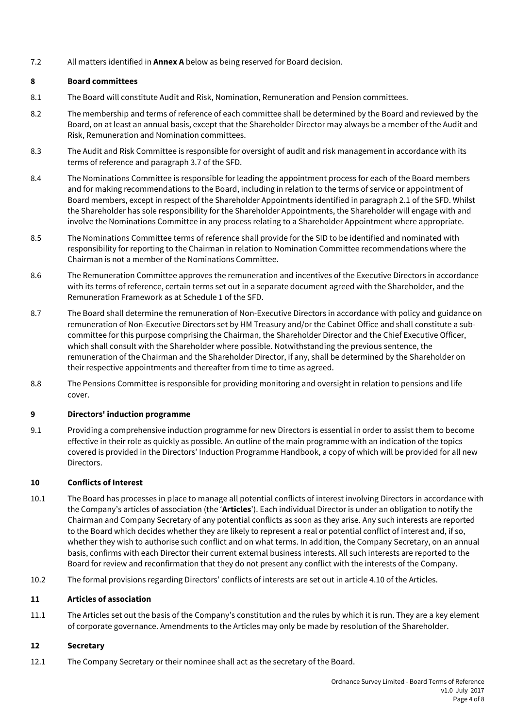7.2 All matters identified in **Annex A** below as being reserved for Board decision.

# **8 Board committees**

- 8.1 The Board will constitute Audit and Risk, Nomination, Remuneration and Pension committees.
- 8.2 The membership and terms of reference of each committee shall be determined by the Board and reviewed by the Board, on at least an annual basis, except that the Shareholder Director may always be a member of the Audit and Risk, Remuneration and Nomination committees.
- 8.3 The Audit and Risk Committee is responsible for oversight of audit and risk management in accordance with its terms of reference and paragraph 3.7 of the SFD.
- 8.4 The Nominations Committee is responsible for leading the appointment process for each of the Board members and for making recommendations to the Board, including in relation to the terms of service or appointment of Board members, except in respect of the Shareholder Appointments identified in paragraph 2.1 of the SFD. Whilst the Shareholder has sole responsibility for the Shareholder Appointments, the Shareholder will engage with and involve the Nominations Committee in any process relating to a Shareholder Appointment where appropriate.
- 8.5 The Nominations Committee terms of reference shall provide for the SID to be identified and nominated with responsibility for reporting to the Chairman in relation to Nomination Committee recommendations where the Chairman is not a member of the Nominations Committee.
- 8.6 The Remuneration Committee approves the remuneration and incentives of the Executive Directors in accordance with its terms of reference, certain terms set out in a separate document agreed with the Shareholder, and the Remuneration Framework as at Schedule 1 of the SFD.
- 8.7 The Board shall determine the remuneration of Non-Executive Directors in accordance with policy and guidance on remuneration of Non-Executive Directors set by HM Treasury and/or the Cabinet Office and shall constitute a subcommittee for this purpose comprising the Chairman, the Shareholder Director and the Chief Executive Officer, which shall consult with the Shareholder where possible. Notwithstanding the previous sentence, the remuneration of the Chairman and the Shareholder Director, if any, shall be determined by the Shareholder on their respective appointments and thereafter from time to time as agreed.
- 8.8 The Pensions Committee is responsible for providing monitoring and oversight in relation to pensions and life cover.

# **9 Directors' induction programme**

9.1 Providing a comprehensive induction programme for new Directors is essential in order to assist them to become effective in their role as quickly as possible. An outline of the main programme with an indication of the topics covered is provided in the Directors' Induction Programme Handbook, a copy of which will be provided for all new Directors.

# **10 Conflicts of Interest**

- 10.1 The Board has processes in place to manage all potential conflicts of interest involving Directors in accordance with the Company's articles of association (the '**Articles**'). Each individual Director is under an obligation to notify the Chairman and Company Secretary of any potential conflicts as soon as they arise. Any such interests are reported to the Board which decides whether they are likely to represent a real or potential conflict of interest and, if so, whether they wish to authorise such conflict and on what terms. In addition, the Company Secretary, on an annual basis, confirms with each Director their current external business interests. All such interests are reported to the Board for review and reconfirmation that they do not present any conflict with the interests of the Company.
- 10.2 The formal provisions regarding Directors' conflicts of interests are set out in article 4.10 of the Articles.

# **11 Articles of association**

11.1 The Articles set out the basis of the Company's constitution and the rules by which it is run. They are a key element of corporate governance. Amendments to the Articles may only be made by resolution of the Shareholder.

# **12 Secretary**

12.1 The Company Secretary or their nominee shall act as the secretary of the Board.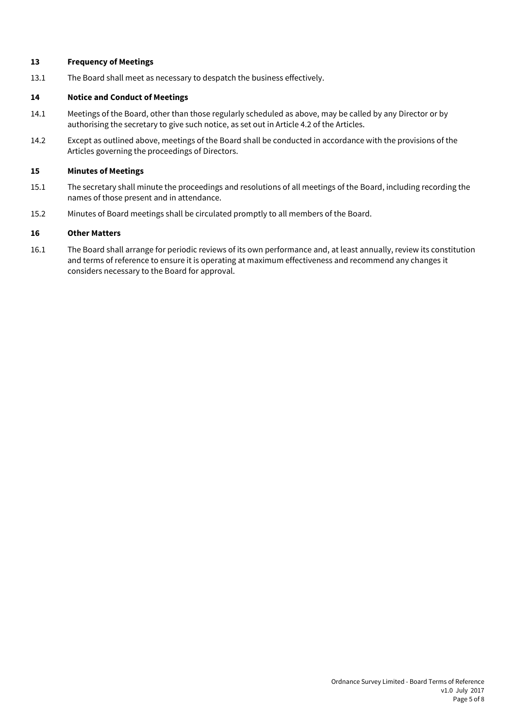# **13 Frequency of Meetings**

13.1 The Board shall meet as necessary to despatch the business effectively.

## **14 Notice and Conduct of Meetings**

- 14.1 Meetings of the Board, other than those regularly scheduled as above, may be called by any Director or by authorising the secretary to give such notice, as set out in Article 4.2 of the Articles.
- 14.2 Except as outlined above, meetings of the Board shall be conducted in accordance with the provisions of the Articles governing the proceedings of Directors.

#### **15 Minutes of Meetings**

- 15.1 The secretary shall minute the proceedings and resolutions of all meetings of the Board, including recording the names of those present and in attendance.
- 15.2 Minutes of Board meetings shall be circulated promptly to all members of the Board.

## **16 Other Matters**

16.1 The Board shall arrange for periodic reviews of its own performance and, at least annually, review its constitution and terms of reference to ensure it is operating at maximum effectiveness and recommend any changes it considers necessary to the Board for approval.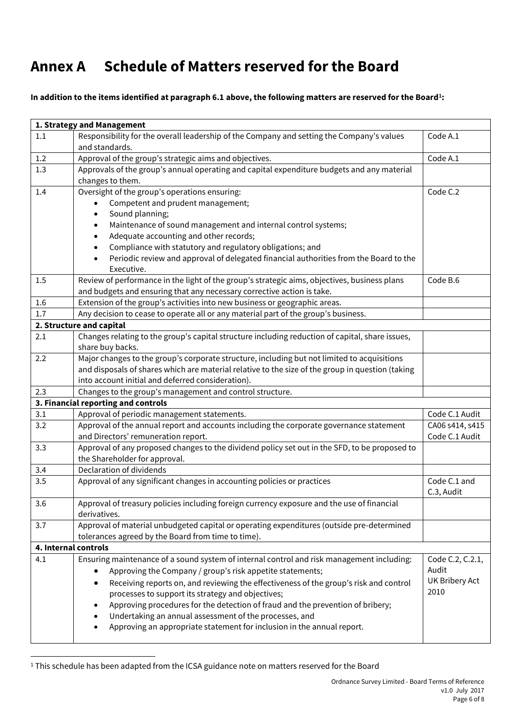# **Annex A Schedule of Matters reserved for the Board**

# **In addition to the items identified at paragraph 6.1 above, the following matters are reserved for the Board<sup>1</sup> :**

| 1. Strategy and Management |                                                                                                  |                            |  |  |
|----------------------------|--------------------------------------------------------------------------------------------------|----------------------------|--|--|
| 1.1                        | Responsibility for the overall leadership of the Company and setting the Company's values        | Code A.1                   |  |  |
|                            | and standards.                                                                                   |                            |  |  |
| 1.2                        | Approval of the group's strategic aims and objectives.                                           | Code A.1                   |  |  |
| 1.3                        | Approvals of the group's annual operating and capital expenditure budgets and any material       |                            |  |  |
|                            | changes to them.                                                                                 |                            |  |  |
| 1.4                        | Oversight of the group's operations ensuring:                                                    | Code C.2                   |  |  |
|                            | Competent and prudent management;                                                                |                            |  |  |
|                            | Sound planning;                                                                                  |                            |  |  |
|                            | Maintenance of sound management and internal control systems;                                    |                            |  |  |
|                            | Adequate accounting and other records;                                                           |                            |  |  |
|                            | Compliance with statutory and regulatory obligations; and                                        |                            |  |  |
|                            | Periodic review and approval of delegated financial authorities from the Board to the            |                            |  |  |
|                            | Executive.                                                                                       |                            |  |  |
| 1.5                        | Review of performance in the light of the group's strategic aims, objectives, business plans     | Code B.6                   |  |  |
|                            | and budgets and ensuring that any necessary corrective action is take.                           |                            |  |  |
| 1.6                        | Extension of the group's activities into new business or geographic areas.                       |                            |  |  |
| 1.7                        | Any decision to cease to operate all or any material part of the group's business.               |                            |  |  |
|                            | 2. Structure and capital                                                                         |                            |  |  |
| 2.1                        | Changes relating to the group's capital structure including reduction of capital, share issues,  |                            |  |  |
|                            | share buy backs.                                                                                 |                            |  |  |
| 2.2                        | Major changes to the group's corporate structure, including but not limited to acquisitions      |                            |  |  |
|                            | and disposals of shares which are material relative to the size of the group in question (taking |                            |  |  |
|                            | into account initial and deferred consideration).                                                |                            |  |  |
| 2.3                        | Changes to the group's management and control structure.                                         |                            |  |  |
|                            | 3. Financial reporting and controls                                                              |                            |  |  |
| 3.1                        | Approval of periodic management statements.                                                      | Code C.1 Audit             |  |  |
| 3.2                        | Approval of the annual report and accounts including the corporate governance statement          | CA06 s414, s415            |  |  |
|                            | and Directors' remuneration report.                                                              | Code C.1 Audit             |  |  |
| 3.3                        | Approval of any proposed changes to the dividend policy set out in the SFD, to be proposed to    |                            |  |  |
|                            | the Shareholder for approval.<br>Declaration of dividends                                        |                            |  |  |
| 3.4                        |                                                                                                  |                            |  |  |
| 3.5                        | Approval of any significant changes in accounting policies or practices                          | Code C.1 and<br>C.3, Audit |  |  |
| 3.6                        | Approval of treasury policies including foreign currency exposure and the use of financial       |                            |  |  |
|                            | derivatives.                                                                                     |                            |  |  |
| 3.7                        | Approval of material unbudgeted capital or operating expenditures (outside pre-determined        |                            |  |  |
|                            | tolerances agreed by the Board from time to time).                                               |                            |  |  |
| 4. Internal controls       |                                                                                                  |                            |  |  |
| 4.1                        | Ensuring maintenance of a sound system of internal control and risk management including:        | Code C.2, C.2.1,           |  |  |
|                            | Approving the Company / group's risk appetite statements;                                        | Audit                      |  |  |
|                            | Receiving reports on, and reviewing the effectiveness of the group's risk and control            | UK Bribery Act             |  |  |
|                            | processes to support its strategy and objectives;                                                | 2010                       |  |  |
|                            | Approving procedures for the detection of fraud and the prevention of bribery;                   |                            |  |  |
|                            | Undertaking an annual assessment of the processes, and                                           |                            |  |  |
|                            | Approving an appropriate statement for inclusion in the annual report.                           |                            |  |  |
|                            |                                                                                                  |                            |  |  |

<sup>1</sup> This schedule has been adapted from the ICSA guidance note on matters reserved for the Board

 $\overline{a}$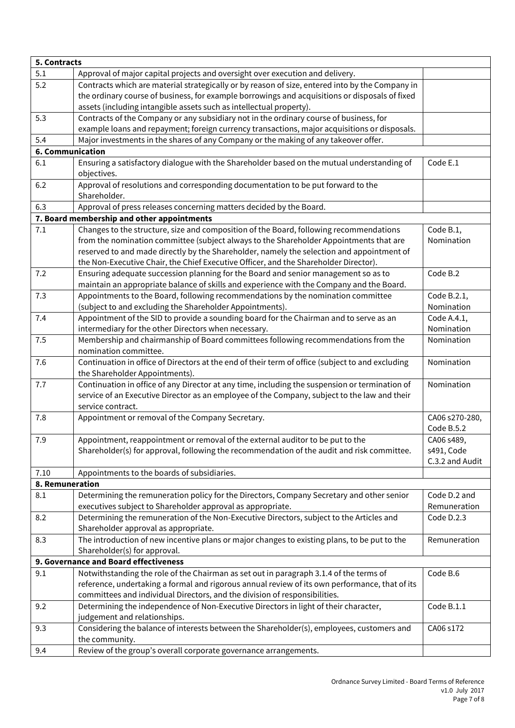| 5. Contracts     |                                                                                                                                                                              |                              |  |  |
|------------------|------------------------------------------------------------------------------------------------------------------------------------------------------------------------------|------------------------------|--|--|
| 5.1              | Approval of major capital projects and oversight over execution and delivery.                                                                                                |                              |  |  |
| 5.2              | Contracts which are material strategically or by reason of size, entered into by the Company in                                                                              |                              |  |  |
|                  | the ordinary course of business, for example borrowings and acquisitions or disposals of fixed                                                                               |                              |  |  |
|                  | assets (including intangible assets such as intellectual property).                                                                                                          |                              |  |  |
| 5.3              | Contracts of the Company or any subsidiary not in the ordinary course of business, for                                                                                       |                              |  |  |
|                  | example loans and repayment; foreign currency transactions, major acquisitions or disposals.                                                                                 |                              |  |  |
| 5.4              | Major investments in the shares of any Company or the making of any takeover offer.                                                                                          |                              |  |  |
| 6. Communication |                                                                                                                                                                              |                              |  |  |
| 6.1              | Ensuring a satisfactory dialogue with the Shareholder based on the mutual understanding of                                                                                   | Code E.1                     |  |  |
|                  | objectives.                                                                                                                                                                  |                              |  |  |
| 6.2              | Approval of resolutions and corresponding documentation to be put forward to the                                                                                             |                              |  |  |
|                  | Shareholder.                                                                                                                                                                 |                              |  |  |
| 6.3              | Approval of press releases concerning matters decided by the Board.                                                                                                          |                              |  |  |
|                  | 7. Board membership and other appointments                                                                                                                                   |                              |  |  |
| 7.1              | Changes to the structure, size and composition of the Board, following recommendations                                                                                       | Code B.1,                    |  |  |
|                  | from the nomination committee (subject always to the Shareholder Appointments that are                                                                                       | Nomination                   |  |  |
|                  | reserved to and made directly by the Shareholder, namely the selection and appointment of                                                                                    |                              |  |  |
|                  | the Non-Executive Chair, the Chief Executive Officer, and the Shareholder Director).                                                                                         |                              |  |  |
| 7.2              | Ensuring adequate succession planning for the Board and senior management so as to                                                                                           | Code B.2                     |  |  |
|                  | maintain an appropriate balance of skills and experience with the Company and the Board.                                                                                     |                              |  |  |
| 7.3              | Appointments to the Board, following recommendations by the nomination committee                                                                                             | Code B.2.1,                  |  |  |
|                  | (subject to and excluding the Shareholder Appointments).                                                                                                                     | Nomination                   |  |  |
| 7.4              | Appointment of the SID to provide a sounding board for the Chairman and to serve as an                                                                                       | Code A.4.1,                  |  |  |
|                  | intermediary for the other Directors when necessary.                                                                                                                         | Nomination                   |  |  |
| 7.5              | Membership and chairmanship of Board committees following recommendations from the                                                                                           | Nomination                   |  |  |
|                  | nomination committee.                                                                                                                                                        |                              |  |  |
| 7.6              | Continuation in office of Directors at the end of their term of office (subject to and excluding                                                                             | Nomination                   |  |  |
|                  | the Shareholder Appointments).                                                                                                                                               |                              |  |  |
| 7.7              | Continuation in office of any Director at any time, including the suspension or termination of                                                                               | Nomination                   |  |  |
|                  | service of an Executive Director as an employee of the Company, subject to the law and their                                                                                 |                              |  |  |
| 7.8              | service contract.<br>Appointment or removal of the Company Secretary.                                                                                                        |                              |  |  |
|                  |                                                                                                                                                                              | CA06 s270-280,<br>Code B.5.2 |  |  |
| 7.9              |                                                                                                                                                                              |                              |  |  |
|                  | Appointment, reappointment or removal of the external auditor to be put to the<br>Shareholder(s) for approval, following the recommendation of the audit and risk committee. | CA06 s489,<br>s491, Code     |  |  |
|                  |                                                                                                                                                                              | C.3.2 and Audit              |  |  |
| 7.10             | Appointments to the boards of subsidiaries.                                                                                                                                  |                              |  |  |
| 8. Remuneration  |                                                                                                                                                                              |                              |  |  |
| 8.1              | Determining the remuneration policy for the Directors, Company Secretary and other senior                                                                                    | Code D.2 and                 |  |  |
|                  | executives subject to Shareholder approval as appropriate.                                                                                                                   | Remuneration                 |  |  |
| 8.2              | Determining the remuneration of the Non-Executive Directors, subject to the Articles and                                                                                     | Code D.2.3                   |  |  |
|                  | Shareholder approval as appropriate.                                                                                                                                         |                              |  |  |
| 8.3              | The introduction of new incentive plans or major changes to existing plans, to be put to the                                                                                 | Remuneration                 |  |  |
|                  | Shareholder(s) for approval.                                                                                                                                                 |                              |  |  |
|                  | 9. Governance and Board effectiveness                                                                                                                                        |                              |  |  |
| 9.1              | Notwithstanding the role of the Chairman as set out in paragraph 3.1.4 of the terms of                                                                                       | Code B.6                     |  |  |
|                  | reference, undertaking a formal and rigorous annual review of its own performance, that of its                                                                               |                              |  |  |
|                  | committees and individual Directors, and the division of responsibilities.                                                                                                   |                              |  |  |
| 9.2              | Determining the independence of Non-Executive Directors in light of their character,                                                                                         | Code B.1.1                   |  |  |
|                  | judgement and relationships.                                                                                                                                                 |                              |  |  |
| 9.3              | Considering the balance of interests between the Shareholder(s), employees, customers and                                                                                    | CA06 s172                    |  |  |
|                  | the community.                                                                                                                                                               |                              |  |  |
| 9.4              | Review of the group's overall corporate governance arrangements.                                                                                                             |                              |  |  |